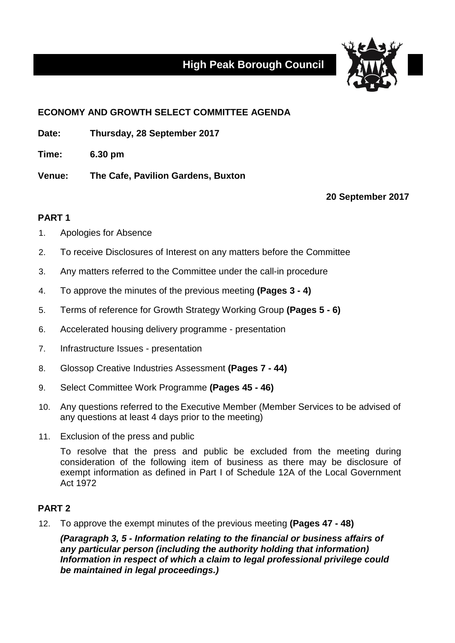# **High Peak Borough Council**



# **ECONOMY AND GROWTH SELECT COMMITTEE AGENDA**

**Date: Thursday, 28 September 2017**

**Time: 6.30 pm**

**Venue: The Cafe, Pavilion Gardens, Buxton**

**20 September 2017**

## **PART 1**

- 1. Apologies for Absence
- 2. To receive Disclosures of Interest on any matters before the Committee
- 3. Any matters referred to the Committee under the call-in procedure
- 4. To approve the minutes of the previous meeting **(Pages 3 - 4)**
- 5. Terms of reference for Growth Strategy Working Group **(Pages 5 - 6)**
- 6. Accelerated housing delivery programme presentation
- 7. Infrastructure Issues presentation
- 8. Glossop Creative Industries Assessment **(Pages 7 - 44)**
- 9. Select Committee Work Programme **(Pages 45 - 46)**
- 10. Any questions referred to the Executive Member (Member Services to be advised of any questions at least 4 days prior to the meeting)
- 11. Exclusion of the press and public

To resolve that the press and public be excluded from the meeting during consideration of the following item of business as there may be disclosure of exempt information as defined in Part I of Schedule 12A of the Local Government Act 1972

### **PART 2**

12. To approve the exempt minutes of the previous meeting **(Pages 47 - 48)**

*(Paragraph 3, 5 - Information relating to the financial or business affairs of any particular person (including the authority holding that information) Information in respect of which a claim to legal professional privilege could be maintained in legal proceedings.)*